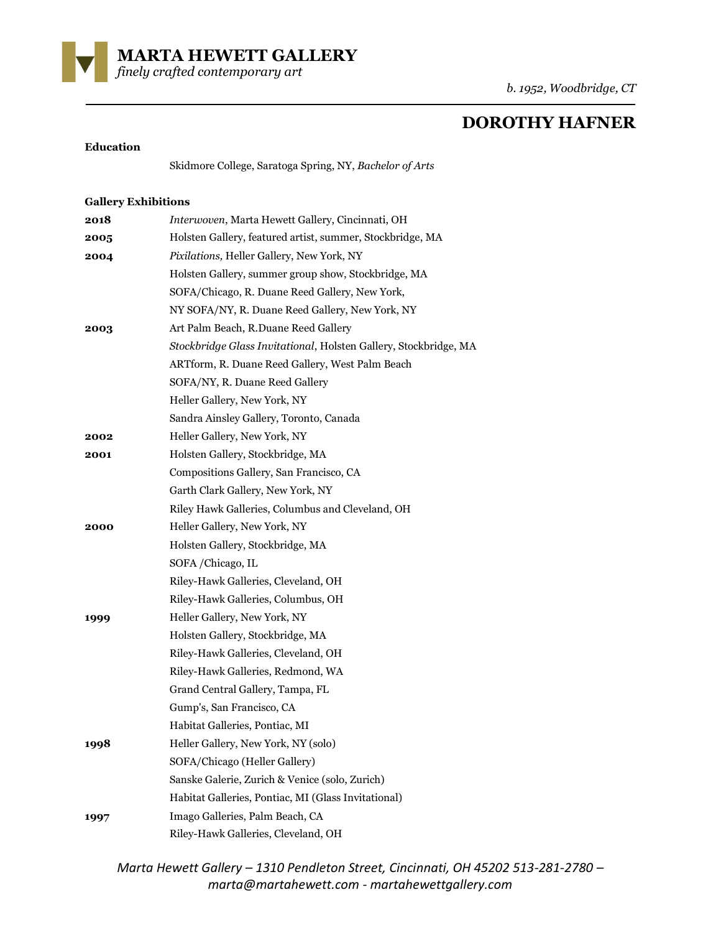

*finely crafted contemporary art* 

# **DOROTHY HAFNER**

#### **Education**

Skidmore College, Saratoga Spring, NY, *Bachelor of Arts*

## **Gallery Exhibitions**

| 2018 | Interwoven, Marta Hewett Gallery, Cincinnati, OH                 |
|------|------------------------------------------------------------------|
| 2005 | Holsten Gallery, featured artist, summer, Stockbridge, MA        |
| 2004 | Pixilations, Heller Gallery, New York, NY                        |
|      | Holsten Gallery, summer group show, Stockbridge, MA              |
|      | SOFA/Chicago, R. Duane Reed Gallery, New York,                   |
|      | NY SOFA/NY, R. Duane Reed Gallery, New York, NY                  |
| 2003 | Art Palm Beach, R.Duane Reed Gallery                             |
|      | Stockbridge Glass Invitational, Holsten Gallery, Stockbridge, MA |
|      | ARTform, R. Duane Reed Gallery, West Palm Beach                  |
|      | SOFA/NY, R. Duane Reed Gallery                                   |
|      | Heller Gallery, New York, NY                                     |
|      | Sandra Ainsley Gallery, Toronto, Canada                          |
| 2002 | Heller Gallery, New York, NY                                     |
| 2001 | Holsten Gallery, Stockbridge, MA                                 |
|      | Compositions Gallery, San Francisco, CA                          |
|      | Garth Clark Gallery, New York, NY                                |
|      | Riley Hawk Galleries, Columbus and Cleveland, OH                 |
| 2000 | Heller Gallery, New York, NY                                     |
|      | Holsten Gallery, Stockbridge, MA                                 |
|      | SOFA/Chicago, IL                                                 |
|      | Riley-Hawk Galleries, Cleveland, OH                              |
|      | Riley-Hawk Galleries, Columbus, OH                               |
| 1999 | Heller Gallery, New York, NY                                     |
|      | Holsten Gallery, Stockbridge, MA                                 |
|      | Riley-Hawk Galleries, Cleveland, OH                              |
|      | Riley-Hawk Galleries, Redmond, WA                                |
|      | Grand Central Gallery, Tampa, FL                                 |
|      | Gump's, San Francisco, CA                                        |
|      | Habitat Galleries, Pontiac, MI                                   |
| 1998 | Heller Gallery, New York, NY (solo)                              |
|      | SOFA/Chicago (Heller Gallery)                                    |
|      | Sanske Galerie, Zurich & Venice (solo, Zurich)                   |
|      | Habitat Galleries, Pontiac, MI (Glass Invitational)              |
| 1997 | Imago Galleries, Palm Beach, CA                                  |
|      | Riley-Hawk Galleries, Cleveland, OH                              |
|      |                                                                  |

*Marta Hewett Gallery – 1310 Pendleton Street, Cincinnati, OH 45202 513-281-2780 – marta@martahewett.com - martahewettgallery.com*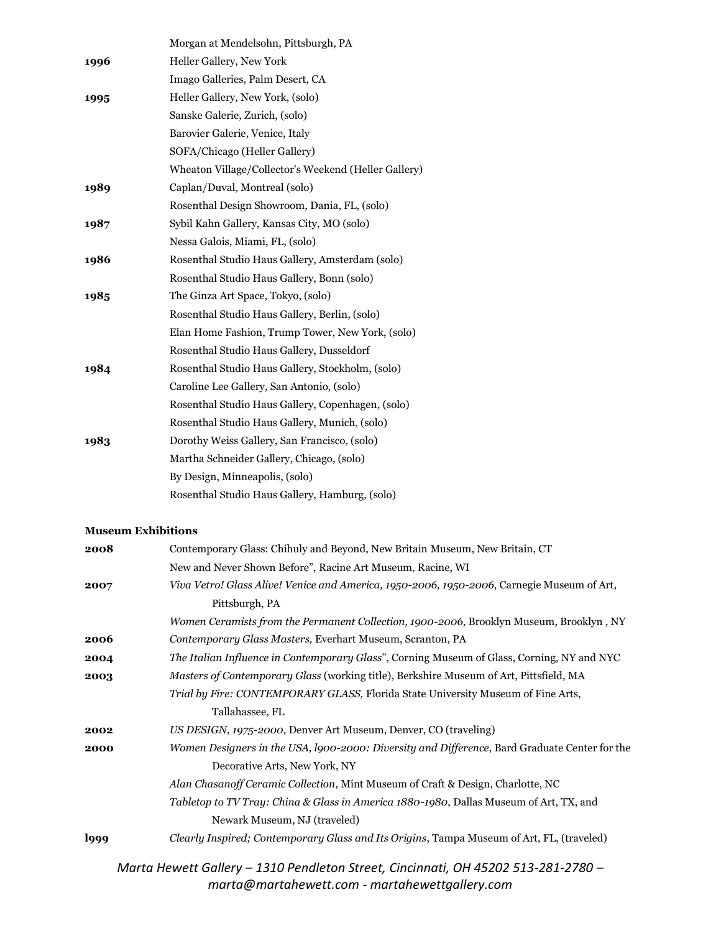|      | Morgan at Mendelsohn, Pittsburgh, PA                 |  |
|------|------------------------------------------------------|--|
| 1996 | Heller Gallery, New York                             |  |
|      | Imago Galleries, Palm Desert, CA                     |  |
| 1995 | Heller Gallery, New York, (solo)                     |  |
|      | Sanske Galerie, Zurich, (solo)                       |  |
|      | Barovier Galerie, Venice, Italy                      |  |
|      | SOFA/Chicago (Heller Gallery)                        |  |
|      | Wheaton Village/Collector's Weekend (Heller Gallery) |  |
| 1989 | Caplan/Duval, Montreal (solo)                        |  |
|      | Rosenthal Design Showroom, Dania, FL, (solo)         |  |
| 1987 | Sybil Kahn Gallery, Kansas City, MO (solo)           |  |
|      | Nessa Galois, Miami, FL, (solo)                      |  |
| 1986 | Rosenthal Studio Haus Gallery, Amsterdam (solo)      |  |
|      | Rosenthal Studio Haus Gallery, Bonn (solo)           |  |
| 1985 | The Ginza Art Space, Tokyo, (solo)                   |  |
|      | Rosenthal Studio Haus Gallery, Berlin, (solo)        |  |
|      | Elan Home Fashion, Trump Tower, New York, (solo)     |  |
|      | Rosenthal Studio Haus Gallery, Dusseldorf            |  |
| 1984 | Rosenthal Studio Haus Gallery, Stockholm, (solo)     |  |
|      | Caroline Lee Gallery, San Antonio, (solo)            |  |
|      | Rosenthal Studio Haus Gallery, Copenhagen, (solo)    |  |
|      | Rosenthal Studio Haus Gallery, Munich, (solo)        |  |
| 1983 | Dorothy Weiss Gallery, San Francisco, (solo)         |  |
|      | Martha Schneider Gallery, Chicago, (solo)            |  |
|      | By Design, Minneapolis, (solo)                       |  |
|      | Rosenthal Studio Haus Gallery, Hamburg, (solo)       |  |

## **Museum Exhibitions**

| Contemporary Glass: Chihuly and Beyond, New Britain Museum, New Britain, CT<br>2008                   |
|-------------------------------------------------------------------------------------------------------|
| New and Never Shown Before", Racine Art Museum, Racine, WI                                            |
| Viva Vetro! Glass Alive! Venice and America, 1950-2006, 1950-2006, Carnegie Museum of Art,<br>2007    |
| Pittsburgh, PA                                                                                        |
| Women Ceramists from the Permanent Collection, 1900-2006, Brooklyn Museum, Brooklyn, NY               |
| Contemporary Glass Masters, Everhart Museum, Scranton, PA<br>2006                                     |
| The Italian Influence in Contemporary Glass", Corning Museum of Glass, Corning, NY and NYC<br>2004    |
| Masters of Contemporary Glass (working title), Berkshire Museum of Art, Pittsfield, MA<br>2003        |
| Trial by Fire: CONTEMPORARY GLASS, Florida State University Museum of Fine Arts,                      |
| Tallahassee, FL                                                                                       |
| US DESIGN, 1975-2000, Denver Art Museum, Denver, CO (traveling)<br>2002                               |
| Women Designers in the USA, 1900-2000: Diversity and Difference, Bard Graduate Center for the<br>2000 |
| Decorative Arts, New York, NY                                                                         |
| Alan Chasanoff Ceramic Collection, Mint Museum of Craft & Design, Charlotte, NC                       |
| Tabletop to TV Tray: China & Glass in America 1880-1980, Dallas Museum of Art, TX, and                |
| Newark Museum, NJ (traveled)                                                                          |
| Clearly Inspired; Contemporary Glass and Its Origins, Tampa Museum of Art, FL, (traveled)<br>l999     |
| Marta Hewett Gallery - 1310 Pendleton Street, Cincinnati, OH 45202 513-281-2780 -                     |
|                                                                                                       |

*marta@martahewett.com - martahewettgallery.com*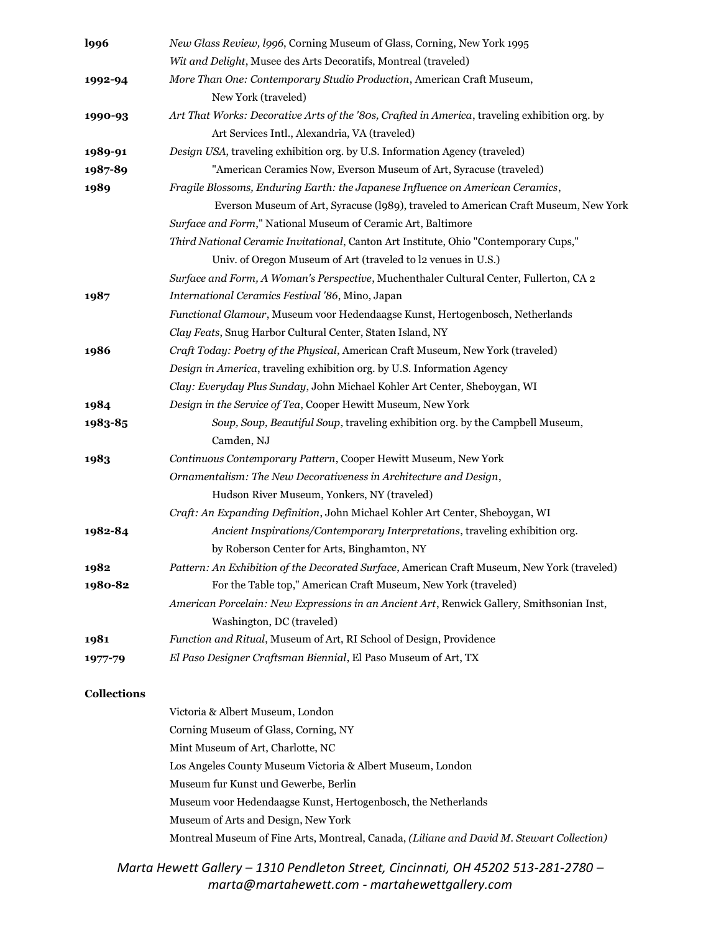| <b>l996</b>        | New Glass Review, 1996, Corning Museum of Glass, Corning, New York 1995                       |
|--------------------|-----------------------------------------------------------------------------------------------|
|                    | Wit and Delight, Musee des Arts Decoratifs, Montreal (traveled)                               |
| 1992-94            | More Than One: Contemporary Studio Production, American Craft Museum,                         |
|                    | New York (traveled)                                                                           |
| 1990-93            | Art That Works: Decorative Arts of the '80s, Crafted in America, traveling exhibition org. by |
|                    | Art Services Intl., Alexandria, VA (traveled)                                                 |
| 1989-91            | Design USA, traveling exhibition org. by U.S. Information Agency (traveled)                   |
| 1987-89            | "American Ceramics Now, Everson Museum of Art, Syracuse (traveled)                            |
| 1989               | Fragile Blossoms, Enduring Earth: the Japanese Influence on American Ceramics,                |
|                    | Everson Museum of Art, Syracuse (1989), traveled to American Craft Museum, New York           |
|                    | Surface and Form," National Museum of Ceramic Art, Baltimore                                  |
|                    | Third National Ceramic Invitational, Canton Art Institute, Ohio "Contemporary Cups,"          |
|                    | Univ. of Oregon Museum of Art (traveled to l2 venues in U.S.)                                 |
|                    | Surface and Form, A Woman's Perspective, Muchenthaler Cultural Center, Fullerton, CA 2        |
| 1987               | International Ceramics Festival '86, Mino, Japan                                              |
|                    | Functional Glamour, Museum voor Hedendaagse Kunst, Hertogenbosch, Netherlands                 |
|                    | Clay Feats, Snug Harbor Cultural Center, Staten Island, NY                                    |
| 1986               | Craft Today: Poetry of the Physical, American Craft Museum, New York (traveled)               |
|                    | Design in America, traveling exhibition org. by U.S. Information Agency                       |
|                    | Clay: Everyday Plus Sunday, John Michael Kohler Art Center, Sheboygan, WI                     |
| 1984               | Design in the Service of Tea, Cooper Hewitt Museum, New York                                  |
| 1983-85            | Soup, Soup, Beautiful Soup, traveling exhibition org. by the Campbell Museum,                 |
|                    | Camden, NJ                                                                                    |
| 1983               | Continuous Contemporary Pattern, Cooper Hewitt Museum, New York                               |
|                    | Ornamentalism: The New Decorativeness in Architecture and Design,                             |
|                    | Hudson River Museum, Yonkers, NY (traveled)                                                   |
|                    | Craft: An Expanding Definition, John Michael Kohler Art Center, Sheboygan, WI                 |
| 1982-84            | Ancient Inspirations/Contemporary Interpretations, traveling exhibition org.                  |
|                    | by Roberson Center for Arts, Binghamton, NY                                                   |
| 1982               | Pattern: An Exhibition of the Decorated Surface, American Craft Museum, New York (traveled)   |
| 1980-82            | For the Table top," American Craft Museum, New York (traveled)                                |
|                    | American Porcelain: New Expressions in an Ancient Art, Renwick Gallery, Smithsonian Inst,     |
|                    | Washington, DC (traveled)                                                                     |
| 1981               | Function and Ritual, Museum of Art, RI School of Design, Providence                           |
| 1977-79            | El Paso Designer Craftsman Biennial, El Paso Museum of Art, TX                                |
| <b>Collections</b> |                                                                                               |
|                    | Victoria & Albert Museum, London                                                              |
|                    | Corning Museum of Glass, Corning, NY                                                          |
|                    | Mint Museum of Art, Charlotte, NC                                                             |
|                    | Los Angeles County Museum Victoria & Albert Museum, London                                    |
|                    | Museum fur Kunst und Gewerbe, Berlin                                                          |
|                    | Museum voor Hedendaagse Kunst, Hertogenbosch, the Netherlands                                 |
|                    | Museum of Arts and Design, New York                                                           |
|                    | Montreal Museum of Fine Arts, Montreal, Canada, (Liliane and David M. Stewart Collection)     |
|                    | Hought Callegy 1210 Bandleton Street Cincinnati OH 15202512 201 2700                          |

*Marta Hewett Gallery – 1310 Pendleton Street, Cincinnati, OH 45202 513-281-2780 – marta@martahewett.com - martahewettgallery.com*